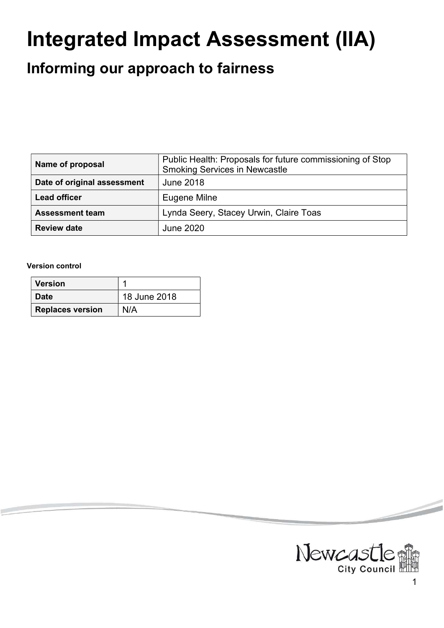# Integrated Impact Assessment (IIA)

# Informing our approach to fairness

| Name of proposal            | Public Health: Proposals for future commissioning of Stop<br><b>Smoking Services in Newcastle</b> |
|-----------------------------|---------------------------------------------------------------------------------------------------|
| Date of original assessment | <b>June 2018</b>                                                                                  |
| <b>Lead officer</b>         | Eugene Milne                                                                                      |
| <b>Assessment team</b>      | Lynda Seery, Stacey Urwin, Claire Toas                                                            |
| <b>Review date</b>          | June 2020                                                                                         |

#### Version control

| <b>Version</b>          |              |
|-------------------------|--------------|
| <b>Date</b>             | 18 June 2018 |
| <b>Replaces version</b> | N/A          |



<u>starting the starting of the starting of the starting of the starting of the starting of the starting of the starting of the starting of the starting of the starting of the starting of the starting of the starting of the </u>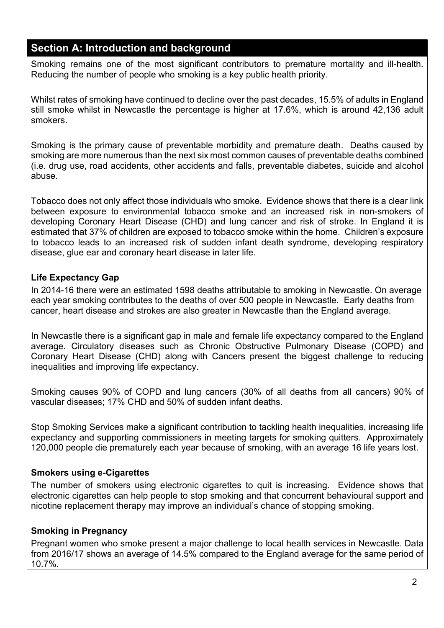# Section A: Introduction and background

Smoking remains one of the most significant contributors to premature mortality and ill-health. Reducing the number of people who smoking is a key public health priority.

Whilst rates of smoking have continued to decline over the past decades, 15.5% of adults in England still smoke whilst in Newcastle the percentage is higher at 17.6%, which is around 42,136 adult smokers.

Smoking is the primary cause of preventable morbidity and premature death. Deaths caused by smoking are more numerous than the next six most common causes of preventable deaths combined (i.e. drug use, road accidents, other accidents and falls, preventable diabetes, suicide and alcohol abuse.

Tobacco does not only affect those individuals who smoke. Evidence shows that there is a clear link between exposure to environmental tobacco smoke and an increased risk in non-smokers of developing Coronary Heart Disease (CHD) and lung cancer and risk of stroke. In England it is estimated that 37% of children are exposed to tobacco smoke within the home. Children's exposure to tobacco leads to an increased risk of sudden infant death syndrome, developing respiratory disease, glue ear and coronary heart disease in later life.

# Life Expectancy Gap

In 2014-16 there were an estimated 1598 deaths attributable to smoking in Newcastle. On average each year smoking contributes to the deaths of over 500 people in Newcastle. Early deaths from cancer, heart disease and strokes are also greater in Newcastle than the England average.

In Newcastle there is a significant gap in male and female life expectancy compared to the England average. Circulatory diseases such as Chronic Obstructive Pulmonary Disease (COPD) and Coronary Heart Disease (CHD) along with Cancers present the biggest challenge to reducing inequalities and improving life expectancy.

Smoking causes 90% of COPD and lung cancers (30% of all deaths from all cancers) 90% of vascular diseases; 17% CHD and 50% of sudden infant deaths.

Stop Smoking Services make a significant contribution to tackling health inequalities, increasing life expectancy and supporting commissioners in meeting targets for smoking quitters. Approximately 120,000 people die prematurely each year because of smoking, with an average 16 life years lost.

# Smokers using e-Cigarettes

The number of smokers using electronic cigarettes to quit is increasing. Evidence shows that electronic cigarettes can help people to stop smoking and that concurrent behavioural support and nicotine replacement therapy may improve an individual's chance of stopping smoking.

# Smoking in Pregnancy

Pregnant women who smoke present a major challenge to local health services in Newcastle. Data from 2016/17 shows an average of 14.5% compared to the England average for the same period of 10.7%.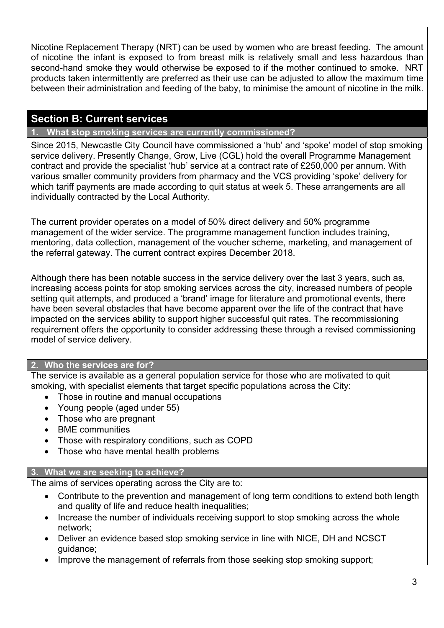Nicotine Replacement Therapy (NRT) can be used by women who are breast feeding. The amount of nicotine the infant is exposed to from breast milk is relatively small and less hazardous than second-hand smoke they would otherwise be exposed to if the mother continued to smoke. NRT products taken intermittently are preferred as their use can be adjusted to allow the maximum time between their administration and feeding of the baby, to minimise the amount of nicotine in the milk.

# Section B: Current services

# 1. What stop smoking services are currently commissioned?

Since 2015, Newcastle City Council have commissioned a 'hub' and 'spoke' model of stop smoking service delivery. Presently Change, Grow, Live (CGL) hold the overall Programme Management contract and provide the specialist 'hub' service at a contract rate of £250,000 per annum. With various smaller community providers from pharmacy and the VCS providing 'spoke' delivery for which tariff payments are made according to quit status at week 5. These arrangements are all individually contracted by the Local Authority.

The current provider operates on a model of 50% direct delivery and 50% programme management of the wider service. The programme management function includes training, mentoring, data collection, management of the voucher scheme, marketing, and management of the referral gateway. The current contract expires December 2018.

Although there has been notable success in the service delivery over the last 3 years, such as, increasing access points for stop smoking services across the city, increased numbers of people setting quit attempts, and produced a 'brand' image for literature and promotional events, there have been several obstacles that have become apparent over the life of the contract that have impacted on the services ability to support higher successful quit rates. The recommissioning requirement offers the opportunity to consider addressing these through a revised commissioning model of service delivery.

# 2. Who the services are for?

The service is available as a general population service for those who are motivated to quit smoking, with specialist elements that target specific populations across the City:

- Those in routine and manual occupations
- Young people (aged under 55)
- Those who are pregnant
- BME communities
- Those with respiratory conditions, such as COPD
- Those who have mental health problems

# 3. What we are seeking to achieve?

The aims of services operating across the City are to:

- Contribute to the prevention and management of long term conditions to extend both length and quality of life and reduce health inequalities;
- Increase the number of individuals receiving support to stop smoking across the whole network;
- Deliver an evidence based stop smoking service in line with NICE, DH and NCSCT guidance;
- Improve the management of referrals from those seeking stop smoking support: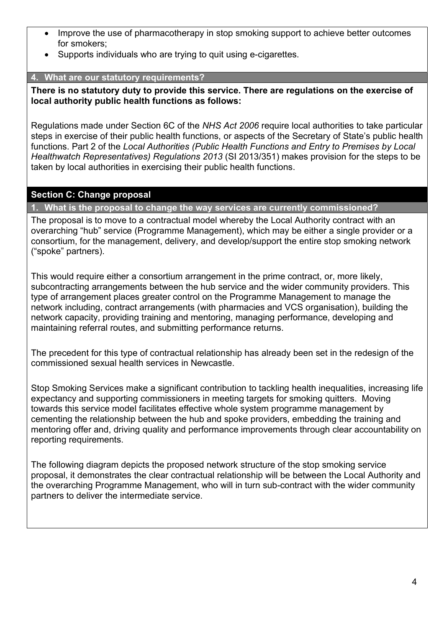- Improve the use of pharmacotherapy in stop smoking support to achieve better outcomes for smokers;
- Supports individuals who are trying to quit using e-cigarettes.

# 4. What are our statutory requirements?

There is no statutory duty to provide this service. There are regulations on the exercise of local authority public health functions as follows:

Regulations made under Section 6C of the NHS Act 2006 require local authorities to take particular steps in exercise of their public health functions, or aspects of the Secretary of State's public health functions. Part 2 of the Local Authorities (Public Health Functions and Entry to Premises by Local Healthwatch Representatives) Regulations 2013 (SI 2013/351) makes provision for the steps to be taken by local authorities in exercising their public health functions.

# Section C: Change proposal

1. What is the proposal to change the way services are currently commissioned?

The proposal is to move to a contractual model whereby the Local Authority contract with an overarching "hub" service (Programme Management), which may be either a single provider or a consortium, for the management, delivery, and develop/support the entire stop smoking network ("spoke" partners).

This would require either a consortium arrangement in the prime contract, or, more likely, subcontracting arrangements between the hub service and the wider community providers. This type of arrangement places greater control on the Programme Management to manage the network including, contract arrangements (with pharmacies and VCS organisation), building the network capacity, providing training and mentoring, managing performance, developing and maintaining referral routes, and submitting performance returns.

The precedent for this type of contractual relationship has already been set in the redesign of the commissioned sexual health services in Newcastle.

Stop Smoking Services make a significant contribution to tackling health inequalities, increasing life expectancy and supporting commissioners in meeting targets for smoking quitters. Moving towards this service model facilitates effective whole system programme management by cementing the relationship between the hub and spoke providers, embedding the training and mentoring offer and, driving quality and performance improvements through clear accountability on reporting requirements.

The following diagram depicts the proposed network structure of the stop smoking service proposal, it demonstrates the clear contractual relationship will be between the Local Authority and the overarching Programme Management, who will in turn sub-contract with the wider community partners to deliver the intermediate service.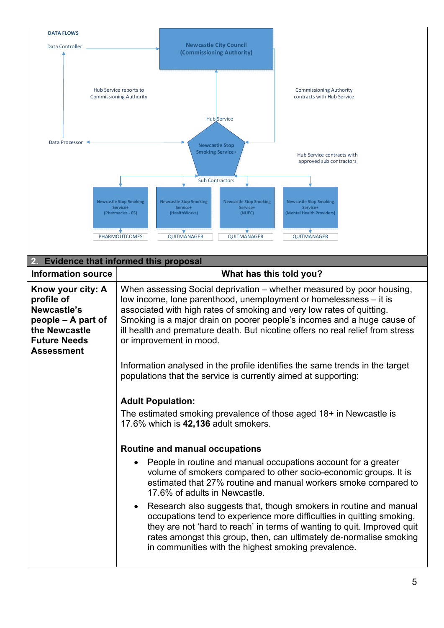| <b>DATA FLOWS</b>                                                                                                                 |                                                                                                                                                                                                                                                                                                                                                                                                                                                                                                                                                                                           |
|-----------------------------------------------------------------------------------------------------------------------------------|-------------------------------------------------------------------------------------------------------------------------------------------------------------------------------------------------------------------------------------------------------------------------------------------------------------------------------------------------------------------------------------------------------------------------------------------------------------------------------------------------------------------------------------------------------------------------------------------|
| Data Controller                                                                                                                   | <b>Newcastle City Council</b><br>(Commissioning Authority)                                                                                                                                                                                                                                                                                                                                                                                                                                                                                                                                |
|                                                                                                                                   | Hub Service reports to<br><b>Commissioning Authority</b><br><b>Commissioning Authority</b><br>contracts with Hub Service<br>Hub Service                                                                                                                                                                                                                                                                                                                                                                                                                                                   |
| Data Processor                                                                                                                    | <b>Newcastle Stop</b><br><b>Smoking Service+</b><br>Hub Service contracts with<br>approved sub contractors<br><b>Sub Contractors</b><br><b>Newcastle Stop Smoking</b><br><b>Newcastle Stop Smoking</b><br><b>Newcastle Stop Smoking</b><br><b>Newcastle Stop Smoking</b><br>Service+<br>Service+<br>Service+<br>Service+<br>(Pharmacies - 65)<br>(HealthWorks)<br>(NUFC)<br>(Mental Health Providers)<br>PHARMOUTCOMES<br>QUITMANAGER<br>QUITMANAGER<br><b>QUITMANAGER</b>                                                                                                                |
|                                                                                                                                   | 2. Evidence that informed this proposal                                                                                                                                                                                                                                                                                                                                                                                                                                                                                                                                                   |
| <b>Information source</b>                                                                                                         | What has this told you?                                                                                                                                                                                                                                                                                                                                                                                                                                                                                                                                                                   |
| Know your city: A<br>profile of<br>Newcastle's<br>people – A part of<br>the Newcastle<br><b>Future Needs</b><br><b>Assessment</b> | When assessing Social deprivation – whether measured by poor housing,<br>low income, lone parenthood, unemployment or homelessness - it is<br>associated with high rates of smoking and very low rates of quitting.<br>Smoking is a major drain on poorer people's incomes and a huge cause of<br>ill health and premature death. But nicotine offers no real relief from stress<br>or improvement in mood.<br>Information analysed in the profile identifies the same trends in the target<br>populations that the service is currently aimed at supporting:<br><b>Adult Population:</b> |
|                                                                                                                                   | The estimated smoking prevalence of those aged 18+ in Newcastle is<br>17.6% which is 42,136 adult smokers.                                                                                                                                                                                                                                                                                                                                                                                                                                                                                |
|                                                                                                                                   | <b>Routine and manual occupations</b><br>People in routine and manual occupations account for a greater<br>$\bullet$<br>volume of smokers compared to other socio-economic groups. It is<br>estimated that 27% routine and manual workers smoke compared to<br>17.6% of adults in Newcastle.                                                                                                                                                                                                                                                                                              |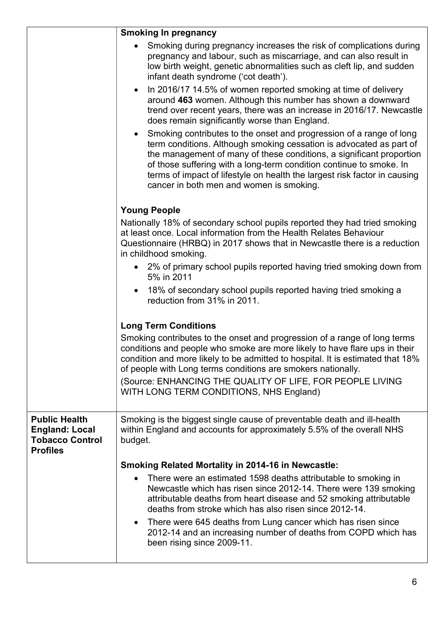|                                                                                            | <b>Smoking In pregnancy</b>                                                                                                                                                                                                                                                                                                                                                                                                     |
|--------------------------------------------------------------------------------------------|---------------------------------------------------------------------------------------------------------------------------------------------------------------------------------------------------------------------------------------------------------------------------------------------------------------------------------------------------------------------------------------------------------------------------------|
|                                                                                            | Smoking during pregnancy increases the risk of complications during<br>pregnancy and labour, such as miscarriage, and can also result in<br>low birth weight, genetic abnormalities such as cleft lip, and sudden<br>infant death syndrome ('cot death').                                                                                                                                                                       |
|                                                                                            | In 2016/17 14.5% of women reported smoking at time of delivery<br>$\bullet$<br>around 463 women. Although this number has shown a downward<br>trend over recent years, there was an increase in 2016/17. Newcastle<br>does remain significantly worse than England.                                                                                                                                                             |
|                                                                                            | Smoking contributes to the onset and progression of a range of long<br>$\bullet$<br>term conditions. Although smoking cessation is advocated as part of<br>the management of many of these conditions, a significant proportion<br>of those suffering with a long-term condition continue to smoke. In<br>terms of impact of lifestyle on health the largest risk factor in causing<br>cancer in both men and women is smoking. |
|                                                                                            | <b>Young People</b>                                                                                                                                                                                                                                                                                                                                                                                                             |
|                                                                                            | Nationally 18% of secondary school pupils reported they had tried smoking<br>at least once. Local information from the Health Relates Behaviour<br>Questionnaire (HRBQ) in 2017 shows that in Newcastle there is a reduction<br>in childhood smoking.                                                                                                                                                                           |
|                                                                                            | 2% of primary school pupils reported having tried smoking down from<br>5% in 2011                                                                                                                                                                                                                                                                                                                                               |
|                                                                                            | 18% of secondary school pupils reported having tried smoking a<br>$\bullet$<br>reduction from 31% in 2011.                                                                                                                                                                                                                                                                                                                      |
|                                                                                            | <b>Long Term Conditions</b>                                                                                                                                                                                                                                                                                                                                                                                                     |
|                                                                                            | Smoking contributes to the onset and progression of a range of long terms<br>conditions and people who smoke are more likely to have flare ups in their<br>condition and more likely to be admitted to hospital. It is estimated that 18%<br>of people with Long terms conditions are smokers nationally.<br>(Source: ENHANCING THE QUALITY OF LIFE, FOR PEOPLE LIVING<br>WITH LONG TERM CONDITIONS, NHS England)               |
| <b>Public Health</b><br><b>England: Local</b><br><b>Tobacco Control</b><br><b>Profiles</b> | Smoking is the biggest single cause of preventable death and ill-health<br>within England and accounts for approximately 5.5% of the overall NHS<br>budget.                                                                                                                                                                                                                                                                     |
|                                                                                            | <b>Smoking Related Mortality in 2014-16 in Newcastle:</b>                                                                                                                                                                                                                                                                                                                                                                       |
|                                                                                            | There were an estimated 1598 deaths attributable to smoking in<br>$\bullet$<br>Newcastle which has risen since 2012-14. There were 139 smoking<br>attributable deaths from heart disease and 52 smoking attributable<br>deaths from stroke which has also risen since 2012-14.<br>There were 645 deaths from Lung cancer which has risen since<br>$\bullet$                                                                     |
|                                                                                            | 2012-14 and an increasing number of deaths from COPD which has<br>been rising since 2009-11.                                                                                                                                                                                                                                                                                                                                    |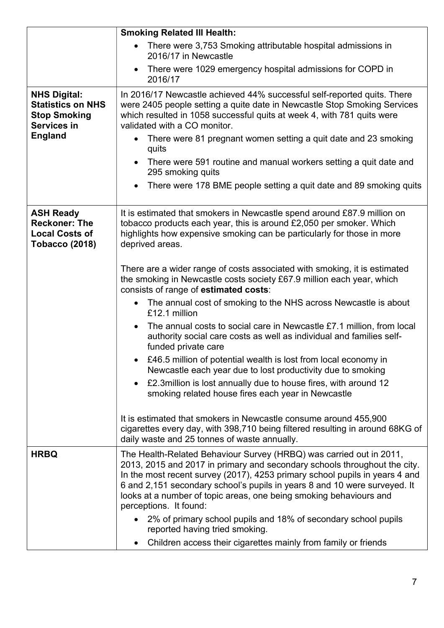|                                                                                            | <b>Smoking Related III Health:</b>                                                                                                                                                                                                                                                                                                                                                                           |
|--------------------------------------------------------------------------------------------|--------------------------------------------------------------------------------------------------------------------------------------------------------------------------------------------------------------------------------------------------------------------------------------------------------------------------------------------------------------------------------------------------------------|
|                                                                                            | There were 3,753 Smoking attributable hospital admissions in<br>2016/17 in Newcastle                                                                                                                                                                                                                                                                                                                         |
|                                                                                            | There were 1029 emergency hospital admissions for COPD in<br>$\bullet$<br>2016/17                                                                                                                                                                                                                                                                                                                            |
| <b>NHS Digital:</b><br><b>Statistics on NHS</b><br><b>Stop Smoking</b><br>Services in      | In 2016/17 Newcastle achieved 44% successful self-reported quits. There<br>were 2405 people setting a quite date in Newcastle Stop Smoking Services<br>which resulted in 1058 successful quits at week 4, with 781 quits were<br>validated with a CO monitor.                                                                                                                                                |
| <b>England</b>                                                                             | There were 81 pregnant women setting a quit date and 23 smoking<br>$\bullet$<br>quits                                                                                                                                                                                                                                                                                                                        |
|                                                                                            | There were 591 routine and manual workers setting a quit date and<br>$\bullet$<br>295 smoking quits                                                                                                                                                                                                                                                                                                          |
|                                                                                            | There were 178 BME people setting a quit date and 89 smoking quits<br>$\bullet$                                                                                                                                                                                                                                                                                                                              |
| <b>ASH Ready</b><br><b>Reckoner: The</b><br><b>Local Costs of</b><br><b>Tobacco (2018)</b> | It is estimated that smokers in Newcastle spend around £87.9 million on<br>tobacco products each year, this is around £2,050 per smoker. Which<br>highlights how expensive smoking can be particularly for those in more<br>deprived areas.                                                                                                                                                                  |
|                                                                                            | There are a wider range of costs associated with smoking, it is estimated<br>the smoking in Newcastle costs society £67.9 million each year, which<br>consists of range of estimated costs:                                                                                                                                                                                                                  |
|                                                                                            | The annual cost of smoking to the NHS across Newcastle is about<br>$\bullet$<br>£12.1 million                                                                                                                                                                                                                                                                                                                |
|                                                                                            | The annual costs to social care in Newcastle £7.1 million, from local<br>$\bullet$<br>authority social care costs as well as individual and families self-<br>funded private care                                                                                                                                                                                                                            |
|                                                                                            | £46.5 million of potential wealth is lost from local economy in<br>Newcastle each year due to lost productivity due to smoking                                                                                                                                                                                                                                                                               |
|                                                                                            | £2.3 million is lost annually due to house fires, with around 12<br>$\bullet$<br>smoking related house fires each year in Newcastle                                                                                                                                                                                                                                                                          |
|                                                                                            | It is estimated that smokers in Newcastle consume around 455,900<br>cigarettes every day, with 398,710 being filtered resulting in around 68KG of<br>daily waste and 25 tonnes of waste annually.                                                                                                                                                                                                            |
| <b>HRBQ</b>                                                                                | The Health-Related Behaviour Survey (HRBQ) was carried out in 2011,<br>2013, 2015 and 2017 in primary and secondary schools throughout the city.<br>In the most recent survey (2017), 4253 primary school pupils in years 4 and<br>6 and 2,151 secondary school's pupils in years 8 and 10 were surveyed. It<br>looks at a number of topic areas, one being smoking behaviours and<br>perceptions. It found: |
|                                                                                            | • 2% of primary school pupils and 18% of secondary school pupils<br>reported having tried smoking.                                                                                                                                                                                                                                                                                                           |
|                                                                                            | Children access their cigarettes mainly from family or friends<br>$\bullet$                                                                                                                                                                                                                                                                                                                                  |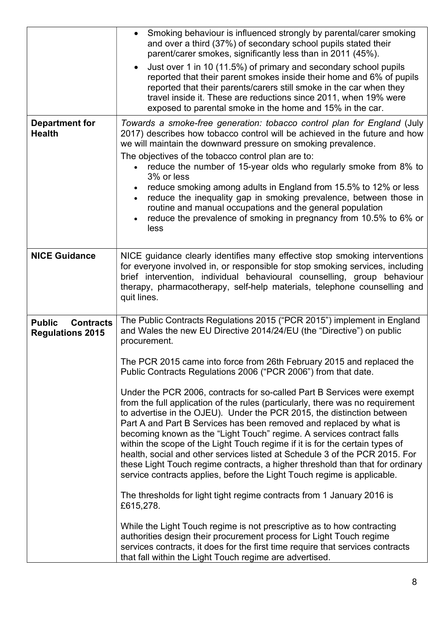|                                                              | Smoking behaviour is influenced strongly by parental/carer smoking<br>$\bullet$<br>and over a third (37%) of secondary school pupils stated their<br>parent/carer smokes, significantly less than in 2011 (45%).<br>Just over 1 in 10 (11.5%) of primary and secondary school pupils<br>reported that their parent smokes inside their home and 6% of pupils<br>reported that their parents/carers still smoke in the car when they<br>travel inside it. These are reductions since 2011, when 19% were<br>exposed to parental smoke in the home and 15% in the car.                                                                                                                                                                                                                                                                                                                                                                                                                                                                                                                                                                                                                                                                                                                                                                                                                                               |
|--------------------------------------------------------------|--------------------------------------------------------------------------------------------------------------------------------------------------------------------------------------------------------------------------------------------------------------------------------------------------------------------------------------------------------------------------------------------------------------------------------------------------------------------------------------------------------------------------------------------------------------------------------------------------------------------------------------------------------------------------------------------------------------------------------------------------------------------------------------------------------------------------------------------------------------------------------------------------------------------------------------------------------------------------------------------------------------------------------------------------------------------------------------------------------------------------------------------------------------------------------------------------------------------------------------------------------------------------------------------------------------------------------------------------------------------------------------------------------------------|
| <b>Department for</b><br><b>Health</b>                       | Towards a smoke-free generation: tobacco control plan for England (July<br>2017) describes how tobacco control will be achieved in the future and how<br>we will maintain the downward pressure on smoking prevalence.<br>The objectives of the tobacco control plan are to:<br>reduce the number of 15-year olds who regularly smoke from 8% to<br>3% or less<br>reduce smoking among adults in England from 15.5% to 12% or less<br>$\bullet$<br>reduce the inequality gap in smoking prevalence, between those in<br>$\bullet$<br>routine and manual occupations and the general population<br>reduce the prevalence of smoking in pregnancy from 10.5% to 6% or<br>$\bullet$<br>less                                                                                                                                                                                                                                                                                                                                                                                                                                                                                                                                                                                                                                                                                                                           |
| <b>NICE Guidance</b>                                         | NICE guidance clearly identifies many effective stop smoking interventions<br>for everyone involved in, or responsible for stop smoking services, including<br>brief intervention, individual behavioural counselling, group behaviour<br>therapy, pharmacotherapy, self-help materials, telephone counselling and<br>quit lines.                                                                                                                                                                                                                                                                                                                                                                                                                                                                                                                                                                                                                                                                                                                                                                                                                                                                                                                                                                                                                                                                                  |
| <b>Contracts</b><br><b>Public</b><br><b>Regulations 2015</b> | The Public Contracts Regulations 2015 ("PCR 2015") implement in England<br>and Wales the new EU Directive 2014/24/EU (the "Directive") on public<br>procurement.<br>The PCR 2015 came into force from 26th February 2015 and replaced the<br>Public Contracts Regulations 2006 ("PCR 2006") from that date.<br>Under the PCR 2006, contracts for so-called Part B Services were exempt<br>from the full application of the rules (particularly, there was no requirement<br>to advertise in the OJEU). Under the PCR 2015, the distinction between<br>Part A and Part B Services has been removed and replaced by what is<br>becoming known as the "Light Touch" regime. A services contract falls<br>within the scope of the Light Touch regime if it is for the certain types of<br>health, social and other services listed at Schedule 3 of the PCR 2015. For<br>these Light Touch regime contracts, a higher threshold than that for ordinary<br>service contracts applies, before the Light Touch regime is applicable.<br>The thresholds for light tight regime contracts from 1 January 2016 is<br>£615,278.<br>While the Light Touch regime is not prescriptive as to how contracting<br>authorities design their procurement process for Light Touch regime<br>services contracts, it does for the first time require that services contracts<br>that fall within the Light Touch regime are advertised. |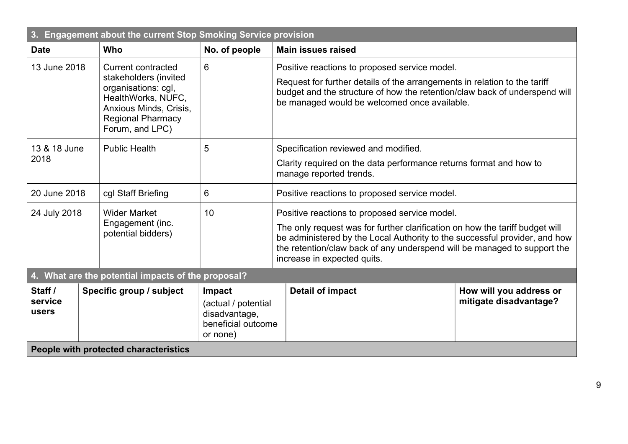| 3.<br>Engagement about the current Stop Smoking Service provision |                                                                                                                                                                          |               |                                                                                                                                                                                                                                                                                                                        |  |  |
|-------------------------------------------------------------------|--------------------------------------------------------------------------------------------------------------------------------------------------------------------------|---------------|------------------------------------------------------------------------------------------------------------------------------------------------------------------------------------------------------------------------------------------------------------------------------------------------------------------------|--|--|
| <b>Date</b>                                                       | <b>Who</b>                                                                                                                                                               | No. of people | <b>Main issues raised</b>                                                                                                                                                                                                                                                                                              |  |  |
| 13 June 2018                                                      | <b>Current contracted</b><br>stakeholders (invited<br>organisations: cgl,<br>HealthWorks, NUFC,<br>Anxious Minds, Crisis,<br><b>Regional Pharmacy</b><br>Forum, and LPC) | 6             | Positive reactions to proposed service model.<br>Request for further details of the arrangements in relation to the tariff<br>budget and the structure of how the retention/claw back of underspend will<br>be managed would be welcomed once available.                                                               |  |  |
| 13 & 18 June<br>2018                                              | <b>Public Health</b>                                                                                                                                                     | 5             | Specification reviewed and modified.<br>Clarity required on the data performance returns format and how to<br>manage reported trends.                                                                                                                                                                                  |  |  |
| 20 June 2018                                                      | cgl Staff Briefing                                                                                                                                                       | 6             | Positive reactions to proposed service model.                                                                                                                                                                                                                                                                          |  |  |
| 24 July 2018                                                      | <b>Wider Market</b><br>Engagement (inc.<br>potential bidders)                                                                                                            | 10            | Positive reactions to proposed service model.<br>The only request was for further clarification on how the tariff budget will<br>be administered by the Local Authority to the successful provider, and how<br>the retention/claw back of any underspend will be managed to support the<br>increase in expected quits. |  |  |
|                                                                   | 4. What are the potential impacts of the proposal?                                                                                                                       |               |                                                                                                                                                                                                                                                                                                                        |  |  |
| Staff /<br>service<br>users                                       | Specific group / subject<br><b>Detail of impact</b><br>Impact<br>(actual / potential<br>disadvantage,<br>beneficial outcome<br>or none)                                  |               | How will you address or<br>mitigate disadvantage?                                                                                                                                                                                                                                                                      |  |  |
| People with protected characteristics                             |                                                                                                                                                                          |               |                                                                                                                                                                                                                                                                                                                        |  |  |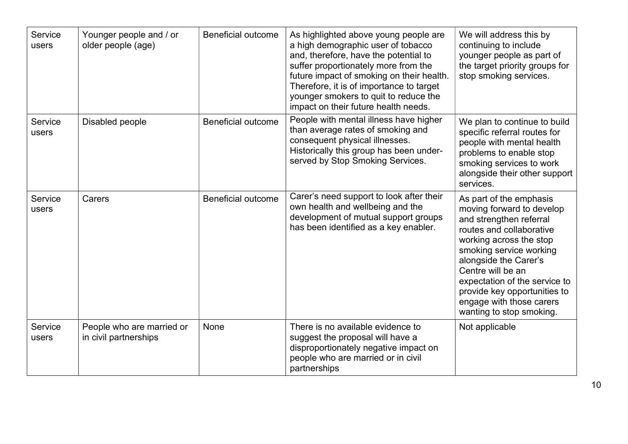| Service<br>users | Younger people and / or<br>older people (age)      | <b>Beneficial outcome</b> | As highlighted above young people are<br>a high demographic user of tobacco<br>and, therefore, have the potential to<br>suffer proportionately more from the<br>future impact of smoking on their health.<br>Therefore, it is of importance to target<br>younger smokers to quit to reduce the<br>impact on their future health needs. | We will address this by<br>continuing to include<br>younger people as part of<br>the target priority groups for<br>stop smoking services.                                                                                                                                                                                                |
|------------------|----------------------------------------------------|---------------------------|----------------------------------------------------------------------------------------------------------------------------------------------------------------------------------------------------------------------------------------------------------------------------------------------------------------------------------------|------------------------------------------------------------------------------------------------------------------------------------------------------------------------------------------------------------------------------------------------------------------------------------------------------------------------------------------|
| Service<br>users | Disabled people                                    | <b>Beneficial outcome</b> | People with mental illness have higher<br>than average rates of smoking and<br>consequent physical illnesses.<br>Historically this group has been under-<br>served by Stop Smoking Services.                                                                                                                                           | We plan to continue to build<br>specific referral routes for<br>people with mental health<br>problems to enable stop<br>smoking services to work<br>alongside their other support<br>services.                                                                                                                                           |
| Service<br>users | Carers                                             | <b>Beneficial outcome</b> | Carer's need support to look after their<br>own health and wellbeing and the<br>development of mutual support groups<br>has been identified as a key enabler.                                                                                                                                                                          | As part of the emphasis<br>moving forward to develop<br>and strengthen referral<br>routes and collaborative<br>working across the stop<br>smoking service working<br>alongside the Carer's<br>Centre will be an<br>expectation of the service to<br>provide key opportunities to<br>engage with those carers<br>wanting to stop smoking. |
| Service<br>users | People who are married or<br>in civil partnerships | None                      | There is no available evidence to<br>suggest the proposal will have a<br>disproportionately negative impact on<br>people who are married or in civil<br>partnerships                                                                                                                                                                   | Not applicable                                                                                                                                                                                                                                                                                                                           |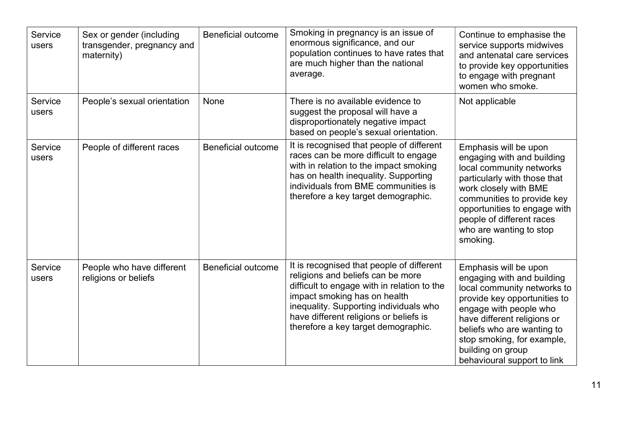| Service<br>users | Sex or gender (including<br>transgender, pregnancy and<br>maternity) | <b>Beneficial outcome</b> | Smoking in pregnancy is an issue of<br>enormous significance, and our<br>population continues to have rates that<br>are much higher than the national<br>average.                                                                                                                        | Continue to emphasise the<br>service supports midwives<br>and antenatal care services<br>to provide key opportunities<br>to engage with pregnant<br>women who smoke.                                                                                                                        |
|------------------|----------------------------------------------------------------------|---------------------------|------------------------------------------------------------------------------------------------------------------------------------------------------------------------------------------------------------------------------------------------------------------------------------------|---------------------------------------------------------------------------------------------------------------------------------------------------------------------------------------------------------------------------------------------------------------------------------------------|
| Service<br>users | People's sexual orientation                                          | None                      | There is no available evidence to<br>suggest the proposal will have a<br>disproportionately negative impact<br>based on people's sexual orientation.                                                                                                                                     | Not applicable                                                                                                                                                                                                                                                                              |
| Service<br>users | People of different races                                            | <b>Beneficial outcome</b> | It is recognised that people of different<br>races can be more difficult to engage<br>with in relation to the impact smoking<br>has on health inequality. Supporting<br>individuals from BME communities is<br>therefore a key target demographic.                                       | Emphasis will be upon<br>engaging with and building<br>local community networks<br>particularly with those that<br>work closely with BME<br>communities to provide key<br>opportunities to engage with<br>people of different races<br>who are wanting to stop<br>smoking.                  |
| Service<br>users | People who have different<br>religions or beliefs                    | <b>Beneficial outcome</b> | It is recognised that people of different<br>religions and beliefs can be more<br>difficult to engage with in relation to the<br>impact smoking has on health<br>inequality. Supporting individuals who<br>have different religions or beliefs is<br>therefore a key target demographic. | Emphasis will be upon<br>engaging with and building<br>local community networks to<br>provide key opportunities to<br>engage with people who<br>have different religions or<br>beliefs who are wanting to<br>stop smoking, for example,<br>building on group<br>behavioural support to link |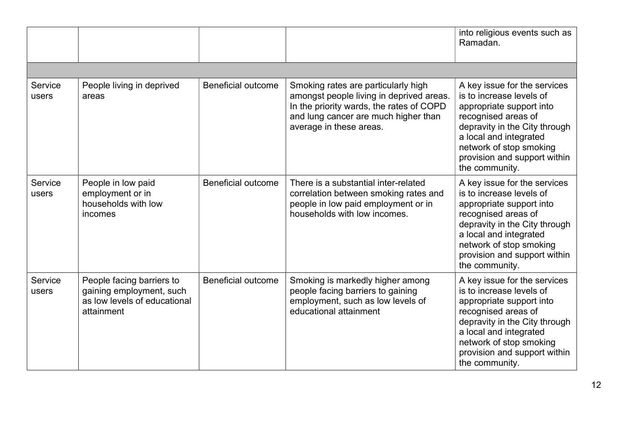|                  |                                                                                                     |                           |                                                                                                                                                                                                | into religious events such as<br>Ramadan.                                                                                                                                                                                                           |
|------------------|-----------------------------------------------------------------------------------------------------|---------------------------|------------------------------------------------------------------------------------------------------------------------------------------------------------------------------------------------|-----------------------------------------------------------------------------------------------------------------------------------------------------------------------------------------------------------------------------------------------------|
|                  |                                                                                                     |                           |                                                                                                                                                                                                |                                                                                                                                                                                                                                                     |
| Service<br>users | People living in deprived<br>areas                                                                  | <b>Beneficial outcome</b> | Smoking rates are particularly high<br>amongst people living in deprived areas.<br>In the priority wards, the rates of COPD<br>and lung cancer are much higher than<br>average in these areas. | A key issue for the services<br>is to increase levels of<br>appropriate support into<br>recognised areas of<br>depravity in the City through<br>a local and integrated<br>network of stop smoking<br>provision and support within<br>the community. |
| Service<br>users | People in low paid<br>employment or in<br>households with low<br>incomes                            | <b>Beneficial outcome</b> | There is a substantial inter-related<br>correlation between smoking rates and<br>people in low paid employment or in<br>households with low incomes.                                           | A key issue for the services<br>is to increase levels of<br>appropriate support into<br>recognised areas of<br>depravity in the City through<br>a local and integrated<br>network of stop smoking<br>provision and support within<br>the community. |
| Service<br>users | People facing barriers to<br>gaining employment, such<br>as low levels of educational<br>attainment | <b>Beneficial outcome</b> | Smoking is markedly higher among<br>people facing barriers to gaining<br>employment, such as low levels of<br>educational attainment                                                           | A key issue for the services<br>is to increase levels of<br>appropriate support into<br>recognised areas of<br>depravity in the City through<br>a local and integrated<br>network of stop smoking<br>provision and support within<br>the community. |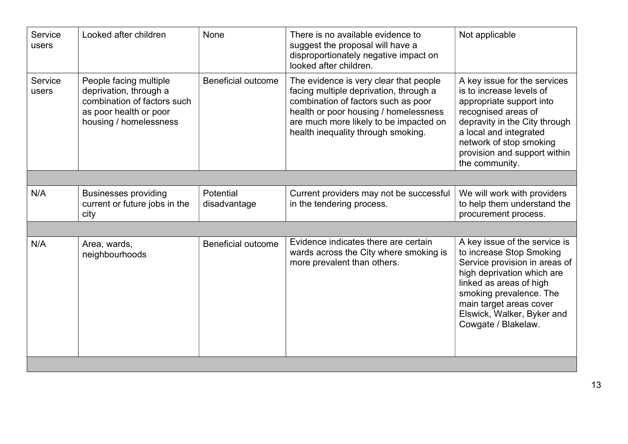| Service<br>users | Looked after children                                                                                                               | None                      | There is no available evidence to<br>suggest the proposal will have a                                                                                                                                                                            | Not applicable                                                                                                                                                                                                                                                 |
|------------------|-------------------------------------------------------------------------------------------------------------------------------------|---------------------------|--------------------------------------------------------------------------------------------------------------------------------------------------------------------------------------------------------------------------------------------------|----------------------------------------------------------------------------------------------------------------------------------------------------------------------------------------------------------------------------------------------------------------|
|                  |                                                                                                                                     |                           | disproportionately negative impact on<br>looked after children.                                                                                                                                                                                  |                                                                                                                                                                                                                                                                |
| Service<br>users | People facing multiple<br>deprivation, through a<br>combination of factors such<br>as poor health or poor<br>housing / homelessness | <b>Beneficial outcome</b> | The evidence is very clear that people<br>facing multiple deprivation, through a<br>combination of factors such as poor<br>health or poor housing / homelessness<br>are much more likely to be impacted on<br>health inequality through smoking. | A key issue for the services<br>is to increase levels of<br>appropriate support into<br>recognised areas of<br>depravity in the City through<br>a local and integrated<br>network of stop smoking<br>provision and support within<br>the community.            |
|                  |                                                                                                                                     |                           |                                                                                                                                                                                                                                                  |                                                                                                                                                                                                                                                                |
| N/A              | <b>Businesses providing</b><br>current or future jobs in the<br>city                                                                | Potential<br>disadvantage | Current providers may not be successful<br>in the tendering process.                                                                                                                                                                             | We will work with providers<br>to help them understand the<br>procurement process.                                                                                                                                                                             |
|                  |                                                                                                                                     |                           |                                                                                                                                                                                                                                                  |                                                                                                                                                                                                                                                                |
| N/A              | Area, wards,<br>neighbourhoods                                                                                                      | <b>Beneficial outcome</b> | Evidence indicates there are certain<br>wards across the City where smoking is<br>more prevalent than others.                                                                                                                                    | A key issue of the service is<br>to increase Stop Smoking<br>Service provision in areas of<br>high deprivation which are<br>linked as areas of high<br>smoking prevalence. The<br>main target areas cover<br>Elswick, Walker, Byker and<br>Cowgate / Blakelaw. |
|                  |                                                                                                                                     |                           |                                                                                                                                                                                                                                                  |                                                                                                                                                                                                                                                                |